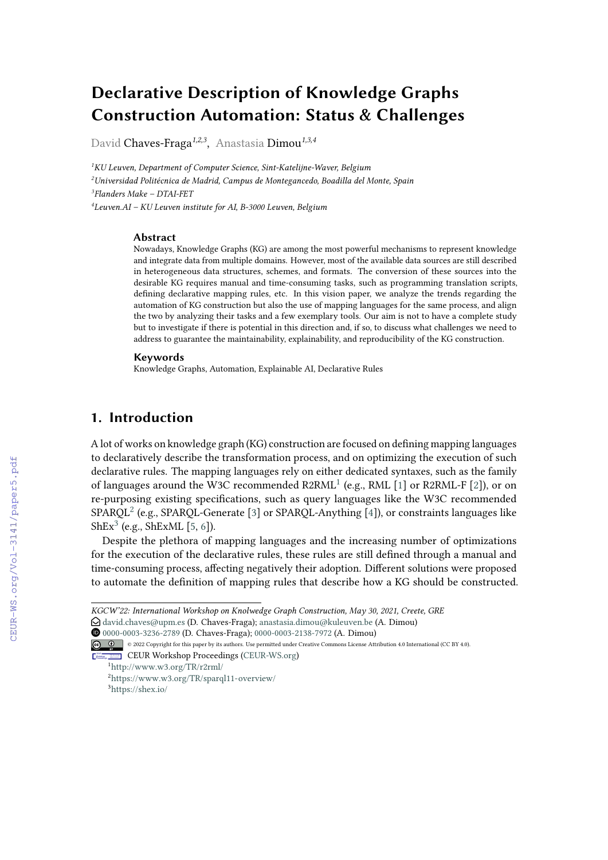# **Declarative Description of Knowledge Graphs Construction Automation: Status & Challenges**

David Chaves-Fraga*1,2,3* , Anastasia Dimou*1,3,4*

*KU Leuven, Department of Computer Science, Sint-Katelijne-Waver, Belgium Universidad Politécnica de Madrid, Campus de Montegancedo, Boadilla del Monte, Spain Flanders Make – DTAI-FET Leuven.AI – KU Leuven institute for AI, B-3000 Leuven, Belgium*

#### **Abstract**

Nowadays, Knowledge Graphs (KG) are among the most powerful mechanisms to represent knowledge and integrate data from multiple domains. However, most of the available data sources are still described in heterogeneous data structures, schemes, and formats. The conversion of these sources into the desirable KG requires manual and time-consuming tasks, such as programming translation scripts, defining declarative mapping rules, etc. In this vision paper, we analyze the trends regarding the automation of KG construction but also the use of mapping languages for the same process, and align the two by analyzing their tasks and a few exemplary tools. Our aim is not to have a complete study but to investigate if there is potential in this direction and, if so, to discuss what challenges we need to address to guarantee the maintainability, explainability, and reproducibility of the KG construction.

#### **Keywords**

Knowledge Graphs, Automation, Explainable AI, Declarative Rules

## **1. Introduction**

A lot of works on knowledge graph (KG) construction are focused on defining mapping languages to declaratively describe the transformation process, and on optimizing the execution of such declarative rules. The mapping languages rely on either dedicated syntaxes, such as the family of languages around the W3C recommended  $R2RML<sup>1</sup>$  $R2RML<sup>1</sup>$  $R2RML<sup>1</sup>$  (e.g., RML [\[1\]](#page--1-0) or R2RML-F [\[2\]](#page--1-1)), or on re-purposing existing specifications, such as query languages like the W3C recommended  $SPARCL<sup>2</sup>$  $SPARCL<sup>2</sup>$  $SPARCL<sup>2</sup>$  (e.g., SPARQL-Generate [\[3\]](#page--1-2) or SPARQL-Anything [\[4\]](#page--1-3)), or constraints languages like  $\text{ShEx}^3$  $\text{ShEx}^3$  (e.g.,  $\text{ShExML}$  [\[5,](#page--1-4) [6\]](#page--1-5)).

Despite the plethora of mapping languages and the increasing number of optimizations for the execution of the declarative rules, these rules are still defined through a manual and time-consuming process, affecting negatively their adoption. Different solutions were proposed to automate the definition of mapping rules that describe how a KG should be constructed.

Orcid [0000-0003-3236-2789](https://orcid.org/0000-0003-3236-2789) (D. Chaves-Fraga); [0000-0003-2138-7972](https://orcid.org/0000-0003-2138-7972) (A. Dimou)

© 2022 Copyright for this paper by its authors. Use permitted under Creative Commons License Attribution 4.0 International (CC BY 4.0). CEUR Workshop [Proceedings](http://ceur-ws.org) [\(CEUR-WS.org\)](http://ceur-ws.org)

*KGCW'22: International Workshop on Knolwedge Graph Construction, May 30, 2021, Creete, GRE*

 $\odot$  [david.chaves@upm.es](mailto:david.chaves@upm.es) (D. Chaves-Fraga); [anastasia.dimou@kuleuven.be](mailto:anastasia.dimou@kuleuven.be) (A. Dimou)

<span id="page-0-0"></span><sup>1</sup><http://www.w3.org/TR/r2rml/>

<span id="page-0-2"></span><span id="page-0-1"></span><sup>2</sup><https://www.w3.org/TR/sparql11-overview/> <sup>3</sup><https://shex.io/>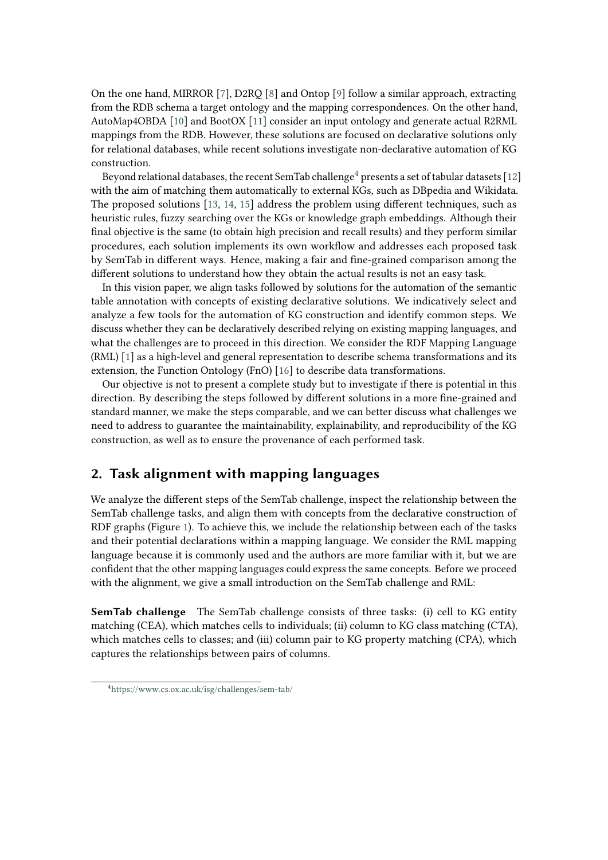On the one hand, MIRROR [\[7\]](#page-7-0), D2RQ [\[8\]](#page-7-1) and Ontop [\[9\]](#page-7-2) follow a similar approach, extracting from the RDB schema a target ontology and the mapping correspondences. On the other hand, AutoMap4OBDA [\[10\]](#page-7-3) and BootOX [\[11\]](#page-7-4) consider an input ontology and generate actual R2RML mappings from the RDB. However, these solutions are focused on declarative solutions only for relational databases, while recent solutions investigate non-declarative automation of KG construction.

Beyond relational databases, the recent SemTab challenge<sup>[4](#page-1-0)</sup> presents a set of tabular datasets [\[12\]](#page-7-5) with the aim of matching them automatically to external KGs, such as DBpedia and Wikidata. The proposed solutions [\[13,](#page-7-6) [14,](#page-7-7) [15\]](#page-7-8) address the problem using different techniques, such as heuristic rules, fuzzy searching over the KGs or knowledge graph embeddings. Although their final objective is the same (to obtain high precision and recall results) and they perform similar procedures, each solution implements its own workflow and addresses each proposed task by SemTab in different ways. Hence, making a fair and fine-grained comparison among the different solutions to understand how they obtain the actual results is not an easy task.

In this vision paper, we align tasks followed by solutions for the automation of the semantic table annotation with concepts of existing declarative solutions. We indicatively select and analyze a few tools for the automation of KG construction and identify common steps. We discuss whether they can be declaratively described relying on existing mapping languages, and what the challenges are to proceed in this direction. We consider the RDF Mapping Language (RML) [\[1\]](#page-6-0) as a high-level and general representation to describe schema transformations and its extension, the Function Ontology (FnO) [\[16\]](#page-7-9) to describe data transformations.

Our objective is not to present a complete study but to investigate if there is potential in this direction. By describing the steps followed by different solutions in a more fine-grained and standard manner, we make the steps comparable, and we can better discuss what challenges we need to address to guarantee the maintainability, explainability, and reproducibility of the KG construction, as well as to ensure the provenance of each performed task.

# **2. Task alignment with mapping languages**

We analyze the different steps of the SemTab challenge, inspect the relationship between the SemTab challenge tasks, and align them with concepts from the declarative construction of RDF graphs (Figure [1\)](#page-2-0). To achieve this, we include the relationship between each of the tasks and their potential declarations within a mapping language. We consider the RML mapping language because it is commonly used and the authors are more familiar with it, but we are confident that the other mapping languages could express the same concepts. Before we proceed with the alignment, we give a small introduction on the SemTab challenge and RML:

**SemTab challenge** The SemTab challenge consists of three tasks: (i) cell to KG entity matching (CEA), which matches cells to individuals; (ii) column to KG class matching (CTA), which matches cells to classes; and (iii) column pair to KG property matching (CPA), which captures the relationships between pairs of columns.

<span id="page-1-0"></span><sup>4</sup><https://www.cs.ox.ac.uk/isg/challenges/sem-tab/>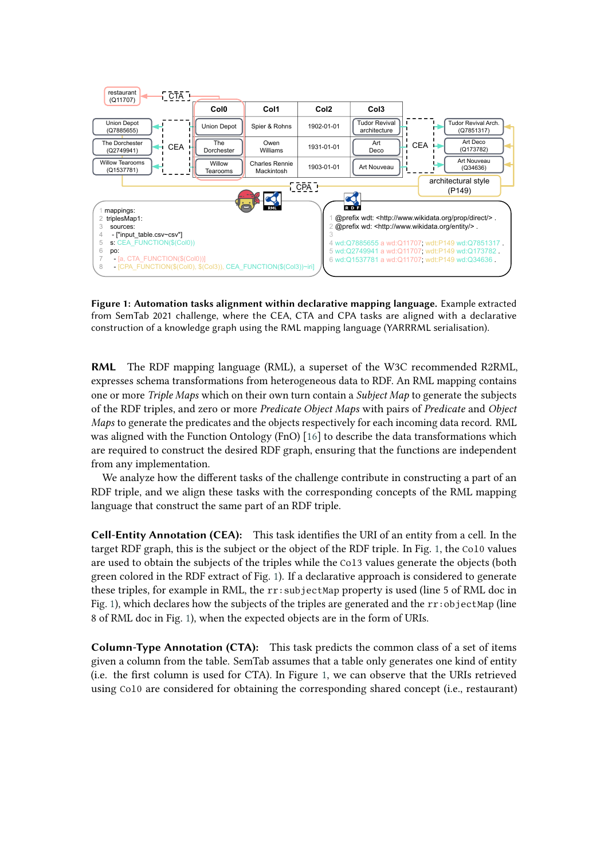

<span id="page-2-0"></span>**Figure 1: Automation tasks alignment within declarative mapping language.** Example extracted from SemTab 2021 challenge, where the CEA, CTA and CPA tasks are aligned with a declarative construction of a knowledge graph using the RML mapping language (YARRRML serialisation).

**RML** The RDF mapping language (RML), a superset of the W3C recommended R2RML, expresses schema transformations from heterogeneous data to RDF. An RML mapping contains one or more *Triple Maps* which on their own turn contain a *Subject Map* to generate the subjects of the RDF triples, and zero or more *Predicate Object Maps* with pairs of *Predicate* and *Object Maps* to generate the predicates and the objects respectively for each incoming data record. RML was aligned with the Function Ontology (FnO) [\[16\]](#page-7-9) to describe the data transformations which are required to construct the desired RDF graph, ensuring that the functions are independent from any implementation.

We analyze how the different tasks of the challenge contribute in constructing a part of an RDF triple, and we align these tasks with the corresponding concepts of the RML mapping language that construct the same part of an RDF triple.

**Cell-Entity Annotation (CEA):** This task identifies the URI of an entity from a cell. In the target RDF graph, this is the subject or the object of the RDF triple. In Fig. [1,](#page-2-0) the Col0 values are used to obtain the subjects of the triples while the Col3 values generate the objects (both green colored in the RDF extract of Fig. [1\)](#page-2-0). If a declarative approach is considered to generate these triples, for example in RML, the rr:subjectMap property is used (line 5 of RML doc in Fig. [1\)](#page-2-0), which declares how the subjects of the triples are generated and the  $rr:objectMap$  (line 8 of RML doc in Fig. [1\)](#page-2-0), when the expected objects are in the form of URIs.

**Column-Type Annotation (CTA):** This task predicts the common class of a set of items given a column from the table. SemTab assumes that a table only generates one kind of entity (i.e. the first column is used for CTA). In Figure [1,](#page-2-0) we can observe that the URIs retrieved using Col0 are considered for obtaining the corresponding shared concept (i.e., restaurant)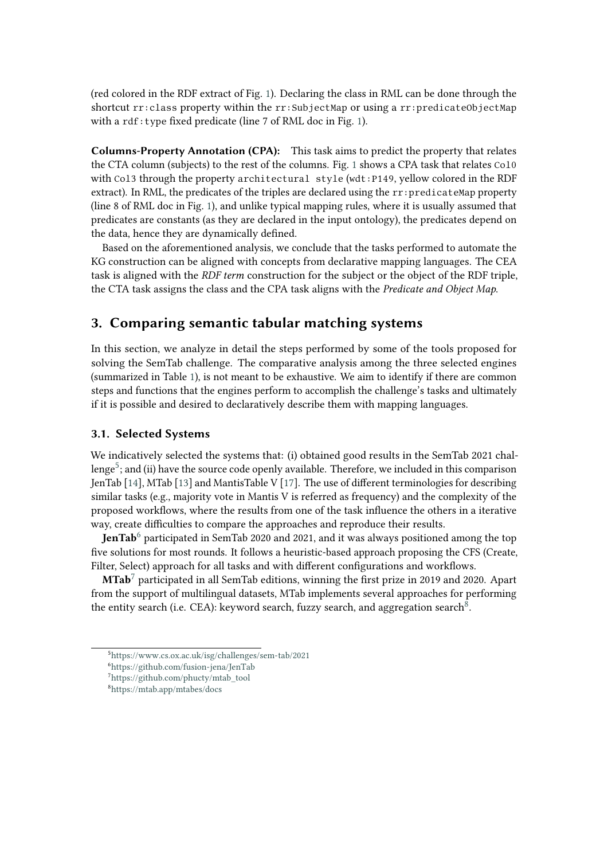(red colored in the RDF extract of Fig. [1\)](#page-2-0). Declaring the class in RML can be done through the shortcut rr:class property within the rr:SubjectMap or using a rr:predicateObjectMap with a rdf:type fixed predicate (line 7 of RML doc in Fig. [1\)](#page-2-0).

**Columns-Property Annotation (CPA):** This task aims to predict the property that relates the CTA column (subjects) to the rest of the columns. Fig. [1](#page-2-0) shows a CPA task that relates Col0 with Col3 through the property architectural style (wdt:P149, yellow colored in the RDF extract). In RML, the predicates of the triples are declared using the  $rr:predicateMap$  property (line 8 of RML doc in Fig. [1\)](#page-2-0), and unlike typical mapping rules, where it is usually assumed that predicates are constants (as they are declared in the input ontology), the predicates depend on the data, hence they are dynamically defined.

Based on the aforementioned analysis, we conclude that the tasks performed to automate the KG construction can be aligned with concepts from declarative mapping languages. The CEA task is aligned with the *RDF term* construction for the subject or the object of the RDF triple, the CTA task assigns the class and the CPA task aligns with the *Predicate and Object Map*.

## **3. Comparing semantic tabular matching systems**

In this section, we analyze in detail the steps performed by some of the tools proposed for solving the SemTab challenge. The comparative analysis among the three selected engines (summarized in Table [1\)](#page-5-0), is not meant to be exhaustive. We aim to identify if there are common steps and functions that the engines perform to accomplish the challenge's tasks and ultimately if it is possible and desired to declaratively describe them with mapping languages.

### **3.1. Selected Systems**

We indicatively selected the systems that: (i) obtained good results in the SemTab 2021 challenge $^5$  $^5$ ; and (ii) have the source code openly available. Therefore, we included in this comparison JenTab [\[14\]](#page-7-7), MTab [\[13\]](#page-7-6) and MantisTable V [\[17\]](#page-7-10). The use of different terminologies for describing similar tasks (e.g., majority vote in Mantis V is referred as frequency) and the complexity of the proposed workflows, where the results from one of the task influence the others in a iterative way, create difficulties to compare the approaches and reproduce their results.

**JenTab**<sup>[6](#page-3-1)</sup> participated in SemTab 2020 and 2021, and it was always positioned among the top five solutions for most rounds. It follows a heuristic-based approach proposing the CFS (Create, Filter, Select) approach for all tasks and with different configurations and workflows.

**MTab**[7](#page-3-2) participated in all SemTab editions, winning the first prize in 2019 and 2020. Apart from the support of multilingual datasets, MTab implements several approaches for performing the entity search (i.e. CEA): keyword search, fuzzy search, and aggregation search<sup>[8](#page-3-3)</sup>.

<span id="page-3-0"></span><sup>5</sup><https://www.cs.ox.ac.uk/isg/challenges/sem-tab/2021>

<span id="page-3-1"></span><sup>6</sup><https://github.com/fusion-jena/JenTab>

<span id="page-3-2"></span><sup>7</sup>[https://github.com/phucty/mtab\\_tool](https://github.com/phucty/mtab_tool)

<span id="page-3-3"></span><sup>8</sup><https://mtab.app/mtabes/docs>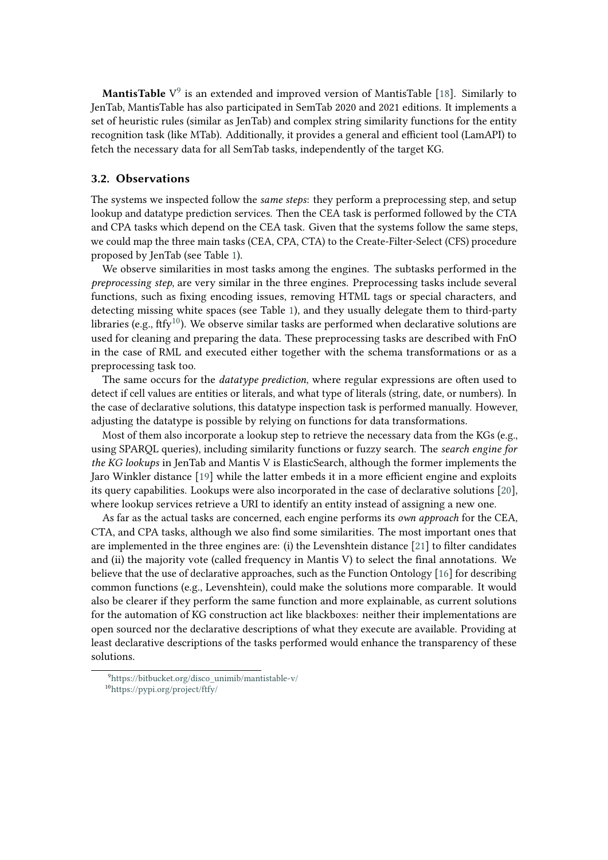**MantisTable** V<sup>[9](#page-4-0)</sup> is an extended and improved version of MantisTable [\[18\]](#page-7-11). Similarly to JenTab, MantisTable has also participated in SemTab 2020 and 2021 editions. It implements a set of heuristic rules (similar as JenTab) and complex string similarity functions for the entity recognition task (like MTab). Additionally, it provides a general and efficient tool (LamAPI) to fetch the necessary data for all SemTab tasks, independently of the target KG.

## **3.2. Observations**

The systems we inspected follow the *same steps*: they perform a preprocessing step, and setup lookup and datatype prediction services. Then the CEA task is performed followed by the CTA and CPA tasks which depend on the CEA task. Given that the systems follow the same steps, we could map the three main tasks (CEA, CPA, CTA) to the Create-Filter-Select (CFS) procedure proposed by JenTab (see Table [1\)](#page-5-0).

We observe similarities in most tasks among the engines. The subtasks performed in the *preprocessing step*, are very similar in the three engines. Preprocessing tasks include several functions, such as fixing encoding issues, removing HTML tags or special characters, and detecting missing white spaces (see Table [1\)](#page-5-0), and they usually delegate them to third-party libraries (e.g., ftfy<sup>[10](#page-4-1)</sup>). We observe similar tasks are performed when declarative solutions are used for cleaning and preparing the data. These preprocessing tasks are described with FnO in the case of RML and executed either together with the schema transformations or as a preprocessing task too.

The same occurs for the *datatype prediction*, where regular expressions are often used to detect if cell values are entities or literals, and what type of literals (string, date, or numbers). In the case of declarative solutions, this datatype inspection task is performed manually. However, adjusting the datatype is possible by relying on functions for data transformations.

Most of them also incorporate a lookup step to retrieve the necessary data from the KGs (e.g., using SPARQL queries), including similarity functions or fuzzy search. The *search engine for the KG lookups* in JenTab and Mantis V is ElasticSearch, although the former implements the Jaro Winkler distance [\[19\]](#page-7-12) while the latter embeds it in a more efficient engine and exploits its query capabilities. Lookups were also incorporated in the case of declarative solutions [\[20\]](#page-8-0), where lookup services retrieve a URI to identify an entity instead of assigning a new one.

As far as the actual tasks are concerned, each engine performs its *own approach* for the CEA, CTA, and CPA tasks, although we also find some similarities. The most important ones that are implemented in the three engines are: (i) the Levenshtein distance [\[21\]](#page-8-1) to filter candidates and (ii) the majority vote (called frequency in Mantis V) to select the final annotations. We believe that the use of declarative approaches, such as the Function Ontology [\[16\]](#page-7-9) for describing common functions (e.g., Levenshtein), could make the solutions more comparable. It would also be clearer if they perform the same function and more explainable, as current solutions for the automation of KG construction act like blackboxes: neither their implementations are open sourced nor the declarative descriptions of what they execute are available. Providing at least declarative descriptions of the tasks performed would enhance the transparency of these solutions.

<span id="page-4-1"></span><span id="page-4-0"></span><sup>9</sup>[https://bitbucket.org/disco\\_unimib/mantistable-v/](https://bitbucket.org/disco_unimib/mantistable-v/) <sup>10</sup><https://pypi.org/project/ftfy/>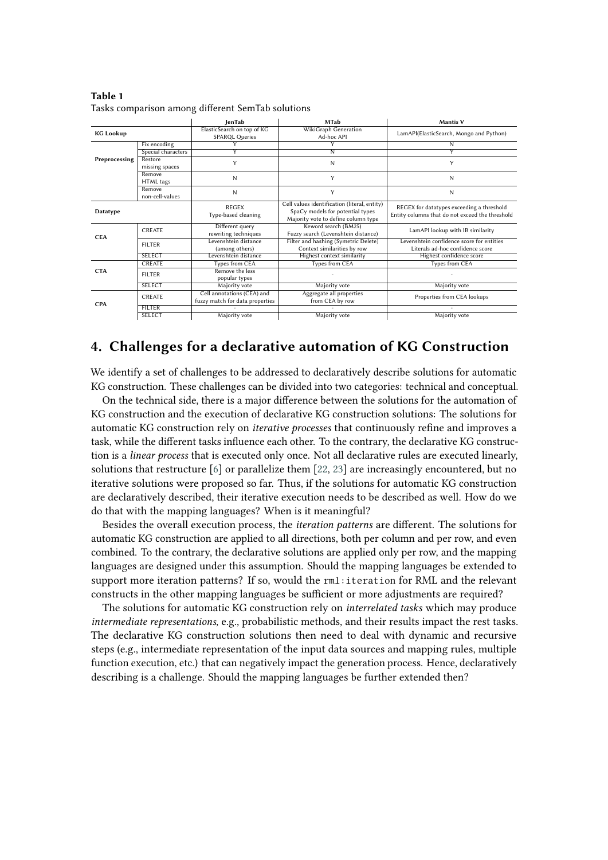|                  |                           | lenTab                                                        | <b>MTab</b>                                                                                                             | <b>Mantis V</b>                                                                              |
|------------------|---------------------------|---------------------------------------------------------------|-------------------------------------------------------------------------------------------------------------------------|----------------------------------------------------------------------------------------------|
| <b>KG Lookup</b> |                           | ElasticSearch on top of KG<br><b>SPARQL Queries</b>           | WikiGraph Generation<br>Ad-hoc API                                                                                      | LamAPI(ElasticSearch, Mongo and Python)                                                      |
|                  | Fix encoding              |                                                               | Y                                                                                                                       | N                                                                                            |
| Preprocessing    | Special characters        | ٧                                                             | Ñ                                                                                                                       | Y                                                                                            |
|                  | Restore<br>missing spaces | Y                                                             | N                                                                                                                       | Y                                                                                            |
|                  | Remove<br>HTML tags       | N                                                             | Y                                                                                                                       | N                                                                                            |
|                  | Remove<br>non-cell-values | N                                                             | Y                                                                                                                       | N                                                                                            |
| Datatype         |                           | <b>REGEX</b><br>Type-based cleaning                           | Cell values identification (literal, entity)<br>SpaCy models for potential types<br>Majority vote to define column type | REGEX for datatypes exceeding a threshold<br>Entity columns that do not exceed the threshold |
| <b>CEA</b>       | <b>CREATE</b>             | Different query<br>rewriting techniques                       | Keword search (BM25)<br>Fuzzy search (Levenshtein distance)                                                             | LamAPI lookup with IB similarity                                                             |
|                  | <b>FILTER</b>             | Levenshtein distance<br>(among others)                        | Filter and hashing (Symetric Delete)<br>Context similarities by row                                                     | Levenshtein confidence score for entities<br>Literals ad-hoc confidence score                |
|                  | <b>SELECT</b>             | Levenshtein distance                                          | Highest context similarity                                                                                              | Highest confidence score                                                                     |
| <b>CTA</b>       | <b>CREATE</b>             | Types from CEA                                                | Types from CEA                                                                                                          | Types from CEA                                                                               |
|                  | <b>FILTER</b>             | Remove the less<br>popular types                              |                                                                                                                         |                                                                                              |
|                  | <b>SELECT</b>             | Majority vote                                                 | Majority vote                                                                                                           | Majority vote                                                                                |
| <b>CPA</b>       | CREATE                    | Cell annotations (CEA) and<br>fuzzy match for data properties | Aggregate all properties<br>from CEA by row                                                                             | Properties from CEA lookups                                                                  |
|                  | <b>FILTER</b>             |                                                               |                                                                                                                         |                                                                                              |
|                  | <b>SELECT</b>             | Majority vote                                                 | Majority vote                                                                                                           | Majority vote                                                                                |

<span id="page-5-0"></span>**Table 1** Tasks comparison among different SemTab solutions

## **4. Challenges for a declarative automation of KG Construction**

We identify a set of challenges to be addressed to declaratively describe solutions for automatic KG construction. These challenges can be divided into two categories: technical and conceptual.

On the technical side, there is a major difference between the solutions for the automation of KG construction and the execution of declarative KG construction solutions: The solutions for automatic KG construction rely on *iterative processes* that continuously refine and improves a task, while the different tasks influence each other. To the contrary, the declarative KG construction is a *linear process* that is executed only once. Not all declarative rules are executed linearly, solutions that restructure  $[6]$  or parallelize them  $[22, 23]$  $[22, 23]$  are increasingly encountered, but no iterative solutions were proposed so far. Thus, if the solutions for automatic KG construction are declaratively described, their iterative execution needs to be described as well. How do we do that with the mapping languages? When is it meaningful?

Besides the overall execution process, the *iteration patterns* are different. The solutions for automatic KG construction are applied to all directions, both per column and per row, and even combined. To the contrary, the declarative solutions are applied only per row, and the mapping languages are designed under this assumption. Should the mapping languages be extended to support more iteration patterns? If so, would the rml:iteration for RML and the relevant constructs in the other mapping languages be sufficient or more adjustments are required?

The solutions for automatic KG construction rely on *interrelated tasks* which may produce *intermediate representations*, e.g., probabilistic methods, and their results impact the rest tasks. The declarative KG construction solutions then need to deal with dynamic and recursive steps (e.g., intermediate representation of the input data sources and mapping rules, multiple function execution, etc.) that can negatively impact the generation process. Hence, declaratively describing is a challenge. Should the mapping languages be further extended then?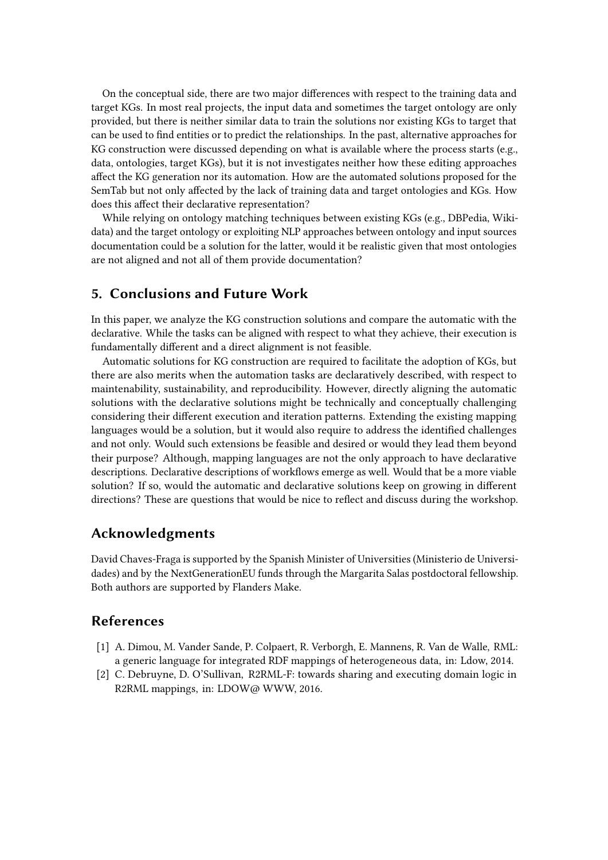On the conceptual side, there are two major differences with respect to the training data and target KGs. In most real projects, the input data and sometimes the target ontology are only provided, but there is neither similar data to train the solutions nor existing KGs to target that can be used to find entities or to predict the relationships. In the past, alternative approaches for KG construction were discussed depending on what is available where the process starts (e.g., data, ontologies, target KGs), but it is not investigates neither how these editing approaches affect the KG generation nor its automation. How are the automated solutions proposed for the SemTab but not only affected by the lack of training data and target ontologies and KGs. How does this affect their declarative representation?

While relying on ontology matching techniques between existing KGs (e.g., DBPedia, Wikidata) and the target ontology or exploiting NLP approaches between ontology and input sources documentation could be a solution for the latter, would it be realistic given that most ontologies are not aligned and not all of them provide documentation?

## **5. Conclusions and Future Work**

In this paper, we analyze the KG construction solutions and compare the automatic with the declarative. While the tasks can be aligned with respect to what they achieve, their execution is fundamentally different and a direct alignment is not feasible.

Automatic solutions for KG construction are required to facilitate the adoption of KGs, but there are also merits when the automation tasks are declaratively described, with respect to maintenability, sustainability, and reproducibility. However, directly aligning the automatic solutions with the declarative solutions might be technically and conceptually challenging considering their different execution and iteration patterns. Extending the existing mapping languages would be a solution, but it would also require to address the identified challenges and not only. Would such extensions be feasible and desired or would they lead them beyond their purpose? Although, mapping languages are not the only approach to have declarative descriptions. Declarative descriptions of workflows emerge as well. Would that be a more viable solution? If so, would the automatic and declarative solutions keep on growing in different directions? These are questions that would be nice to reflect and discuss during the workshop.

## **Acknowledgments**

David Chaves-Fraga is supported by the Spanish Minister of Universities (Ministerio de Universidades) and by the NextGenerationEU funds through the Margarita Salas postdoctoral fellowship. Both authors are supported by Flanders Make.

## **References**

- <span id="page-6-0"></span>[1] A. Dimou, M. Vander Sande, P. Colpaert, R. Verborgh, E. Mannens, R. Van de Walle, RML: a generic language for integrated RDF mappings of heterogeneous data, in: Ldow, 2014.
- [2] C. Debruyne, D. O'Sullivan, R2RML-F: towards sharing and executing domain logic in R2RML mappings, in: LDOW@ WWW, 2016.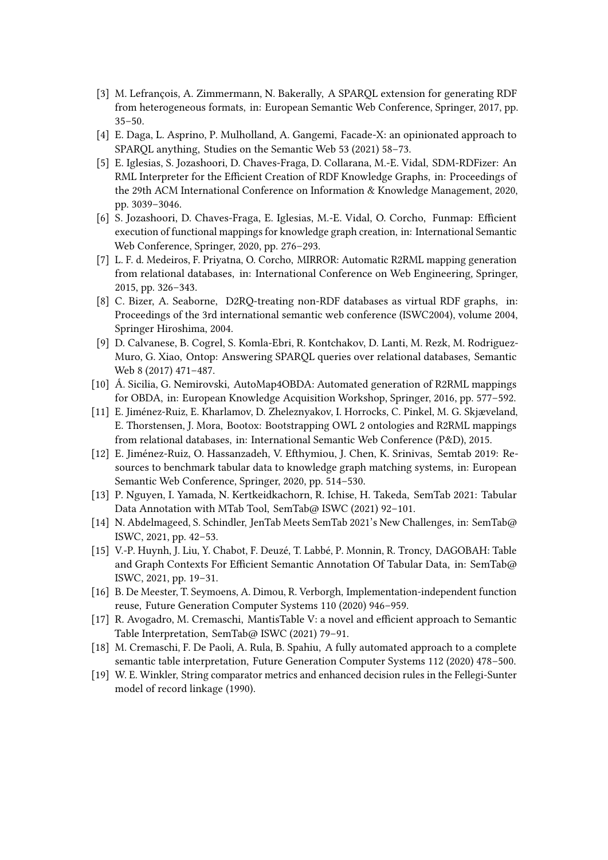- [3] M. Lefrançois, A. Zimmermann, N. Bakerally, A SPARQL extension for generating RDF from heterogeneous formats, in: European Semantic Web Conference, Springer, 2017, pp.  $35 - 50.$
- [4] E. Daga, L. Asprino, P. Mulholland, A. Gangemi, Facade-X: an opinionated approach to SPARQL anything, Studies on the Semantic Web 53 (2021) 58–73.
- [5] E. Iglesias, S. Jozashoori, D. Chaves-Fraga, D. Collarana, M.-E. Vidal, SDM-RDFizer: An RML Interpreter for the Efficient Creation of RDF Knowledge Graphs, in: Proceedings of the 29th ACM International Conference on Information & Knowledge Management, 2020, pp. 3039–3046.
- <span id="page-7-13"></span>[6] S. Jozashoori, D. Chaves-Fraga, E. Iglesias, M.-E. Vidal, O. Corcho, Funmap: Efficient execution of functional mappings for knowledge graph creation, in: International Semantic Web Conference, Springer, 2020, pp. 276–293.
- <span id="page-7-0"></span>[7] L. F. d. Medeiros, F. Priyatna, O. Corcho, MIRROR: Automatic R2RML mapping generation from relational databases, in: International Conference on Web Engineering, Springer, 2015, pp. 326–343.
- <span id="page-7-1"></span>[8] C. Bizer, A. Seaborne, D2RQ-treating non-RDF databases as virtual RDF graphs, in: Proceedings of the 3rd international semantic web conference (ISWC2004), volume 2004, Springer Hiroshima, 2004.
- <span id="page-7-2"></span>[9] D. Calvanese, B. Cogrel, S. Komla-Ebri, R. Kontchakov, D. Lanti, M. Rezk, M. Rodriguez-Muro, G. Xiao, Ontop: Answering SPARQL queries over relational databases, Semantic Web 8 (2017) 471–487.
- <span id="page-7-3"></span>[10] Á. Sicilia, G. Nemirovski, AutoMap4OBDA: Automated generation of R2RML mappings for OBDA, in: European Knowledge Acquisition Workshop, Springer, 2016, pp. 577–592.
- <span id="page-7-4"></span>[11] E. Jiménez-Ruiz, E. Kharlamov, D. Zheleznyakov, I. Horrocks, C. Pinkel, M. G. Skjæveland, E. Thorstensen, J. Mora, Bootox: Bootstrapping OWL 2 ontologies and R2RML mappings from relational databases, in: International Semantic Web Conference (P&D), 2015.
- <span id="page-7-5"></span>[12] E. Jiménez-Ruiz, O. Hassanzadeh, V. Efthymiou, J. Chen, K. Srinivas, Semtab 2019: Resources to benchmark tabular data to knowledge graph matching systems, in: European Semantic Web Conference, Springer, 2020, pp. 514–530.
- <span id="page-7-6"></span>[13] P. Nguyen, I. Yamada, N. Kertkeidkachorn, R. Ichise, H. Takeda, SemTab 2021: Tabular Data Annotation with MTab Tool, SemTab@ ISWC (2021) 92-101.
- <span id="page-7-7"></span>[14] N. Abdelmageed, S. Schindler, JenTab Meets SemTab 2021's New Challenges, in: SemTab@ ISWC, 2021, pp. 42–53.
- <span id="page-7-8"></span>[15] V.-P. Huynh, J. Liu, Y. Chabot, F. Deuzé, T. Labbé, P. Monnin, R. Troncy, DAGOBAH: Table and Graph Contexts For Efficient Semantic Annotation Of Tabular Data, in: SemTab@ ISWC, 2021, pp. 19–31.
- <span id="page-7-9"></span>[16] B. De Meester, T. Seymoens, A. Dimou, R. Verborgh, Implementation-independent function reuse, Future Generation Computer Systems 110 (2020) 946–959.
- <span id="page-7-10"></span>[17] R. Avogadro, M. Cremaschi, MantisTable V: a novel and efficient approach to Semantic Table Interpretation, SemTab@ ISWC (2021) 79-91.
- <span id="page-7-11"></span>[18] M. Cremaschi, F. De Paoli, A. Rula, B. Spahiu, A fully automated approach to a complete semantic table interpretation, Future Generation Computer Systems 112 (2020) 478–500.
- <span id="page-7-12"></span>[19] W. E. Winkler, String comparator metrics and enhanced decision rules in the Fellegi-Sunter model of record linkage (1990).